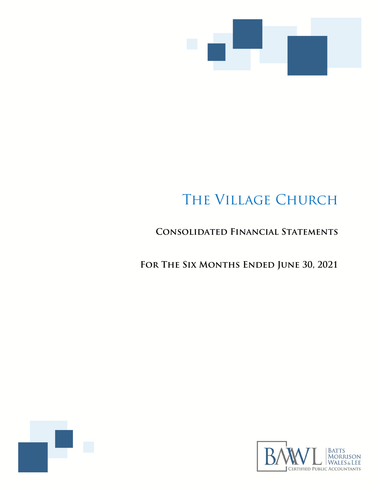

# The Village Church

## **Consolidated Financial Statements**

FOR THE SIX MONTHS ENDED JUNE 30, 2021



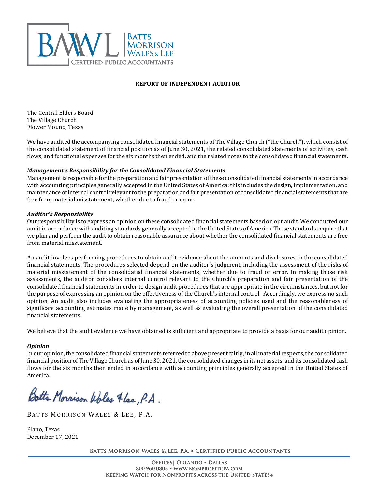

#### **REPORT OF INDEPENDENT AUDITOR**

The Central Elders Board The Village Church Flower Mound, Texas

We have audited the accompanying consolidated financial statements of The Village Church ("the Church"), which consist of the consolidated statement of financial position as of June 30, 2021, the related consolidated statements of activities, cash flows, and functional expenses for the six months then ended, and the related notes to the consolidated financial statements.

#### *Management's Responsibility for the Consolidated Financial Statements*

Managementis responsible for the preparation and fair presentation ofthese consolidated financial statements in accordance with accounting principles generally accepted in the United States of America; this includes the design, implementation, and maintenance of internal control relevantto the preparation and fair presentation of consolidated financial statements that are free from material misstatement, whether due to fraud or error.

#### *Auditor's Responsibility*

Our responsibility is to express an opinion on these consolidated financial statements based on our audit. We conducted our audit in accordance with auditing standards generally accepted in the United States of America. Those standards require that we plan and perform the audit to obtain reasonable assurance about whether the consolidated financial statements are free from material misstatement.

An audit involves performing procedures to obtain audit evidence about the amounts and disclosures in the consolidated financial statements. The procedures selected depend on the auditor's judgment, including the assessment of the risks of material misstatement of the consolidated financial statements, whether due to fraud or error. In making those risk assessments, the auditor considers internal control relevant to the Church's preparation and fair presentation of the consolidated financial statements in order to design audit procedures that are appropriate in the circumstances, but not for the purpose of expressing an opinion on the effectiveness of the Church's internal control. Accordingly, we express no such opinion. An audit also includes evaluating the appropriateness of accounting policies used and the reasonableness of significant accounting estimates made by management, as well as evaluating the overall presentation of the consolidated financial statements.

We believe that the audit evidence we have obtained is sufficient and appropriate to provide a basis for our audit opinion.

#### *Opinion*

In our opinion, the consolidated financial statements referred to above present fairly, in all material respects, the consolidated financial position of The Village Church as of June 30, 2021, the consolidated changes in its net assets, and its consolidated cash flows for the six months then ended in accordance with accounting principles generally accepted in the United States of America. 

Botts Morrison Woles Flee, P.A.

BATTS MORRISON WALES & LEE, P.A.

Plano, Texas December 17, 2021

**Batts Morrison Wales & Lee, P.A.** • **Certified Public Accountants**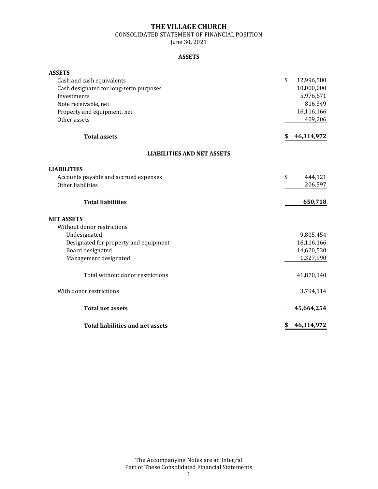CONSOLIDATED STATEMENT OF FINANCIAL POSITION

June 30, 2021

#### **ASSETS**

| <b>ASSETS</b>                           |                  |
|-----------------------------------------|------------------|
| Cash and cash equivalents               | \$<br>12,996,580 |
| Cash designated for long-term purposes  | 10,000,000       |
| Investments                             | 5,976,671        |
| Note receivable, net                    | 816,349          |
| Property and equipment, net             | 16,116,166       |
| Other assets                            | 409,206          |
| <b>Total assets</b>                     | 46,314,972<br>S  |
| <b>LIABILITIES AND NET ASSETS</b>       |                  |
| <b>LIABILITIES</b>                      |                  |
| Accounts payable and accrued expenses   | \$<br>444,121    |
| Other liabilities                       | 206,597          |
| <b>Total liabilities</b>                | 650,718          |
| <b>NET ASSETS</b>                       |                  |
| Without donor restrictions              |                  |
| Undesignated                            | 9,805,454        |
| Designated for property and equipment   | 16,116,166       |
| Board designated                        | 14,620,530       |
| Management designated                   | 1,327,990        |
| Total without donor restrictions        | 41,870,140       |
| With donor restrictions                 | 3,794,114        |
| <b>Total net assets</b>                 | 45,664,254       |
| <b>Total liabilities and net assets</b> | 46,314,972<br>\$ |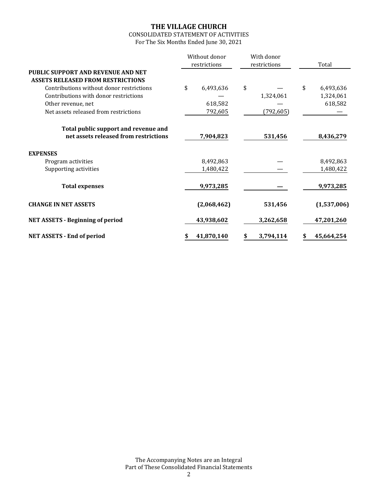## CONSOLIDATED STATEMENT OF ACTIVITIES

For The Six Months Ended June 30, 2021

|                                                                                       | Without donor<br>restrictions | With donor<br>restrictions | Total           |  |
|---------------------------------------------------------------------------------------|-------------------------------|----------------------------|-----------------|--|
| <b>PUBLIC SUPPORT AND REVENUE AND NET</b><br><b>ASSETS RELEASED FROM RESTRICTIONS</b> |                               |                            |                 |  |
| Contributions without donor restrictions                                              | \$<br>6,493,636               | \$                         | \$<br>6,493,636 |  |
| Contributions with donor restrictions                                                 |                               | 1,324,061                  | 1,324,061       |  |
| Other revenue, net                                                                    | 618,582                       |                            | 618,582         |  |
| Net assets released from restrictions                                                 | 792,605                       | (792, 605)                 |                 |  |
| Total public support and revenue and                                                  |                               |                            |                 |  |
| net assets released from restrictions                                                 | 7,904,823                     | 531,456                    | 8,436,279       |  |
| <b>EXPENSES</b>                                                                       |                               |                            |                 |  |
| Program activities                                                                    | 8,492,863                     |                            | 8,492,863       |  |
| Supporting activities                                                                 | 1,480,422                     |                            | 1,480,422       |  |
| <b>Total expenses</b>                                                                 | 9,973,285                     |                            | 9,973,285       |  |
| <b>CHANGE IN NET ASSETS</b>                                                           | (2,068,462)                   | 531,456                    | (1,537,006)     |  |
| <b>NET ASSETS - Beginning of period</b>                                               | 43,938,602                    | 3,262,658                  | 47,201,260      |  |
| <b>NET ASSETS - End of period</b>                                                     | 41,870,140                    | 3,794,114                  | 45,664,254      |  |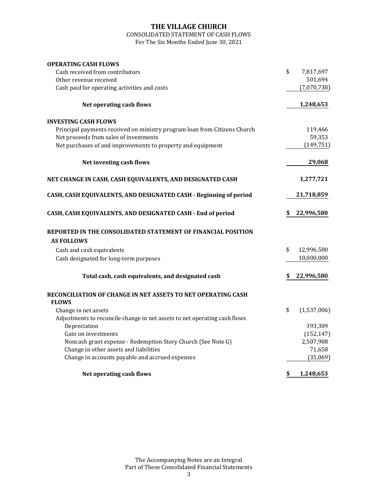## CONSOLIDATED STATEMENT OF CASH FLOWS

For The Six Months Ended June 30, 2021

| <b>OPERATING CASH FLOWS</b>                                               |                   |
|---------------------------------------------------------------------------|-------------------|
| Cash received from contributors                                           | \$<br>7,817,697   |
| Other revenue received                                                    | 501,694           |
| Cash paid for operating activities and costs                              | (7,070,738)       |
| Net operating cash flows                                                  | 1,248,653         |
| <b>INVESTING CASH FLOWS</b>                                               |                   |
| Principal payments received on ministry program loan from Citizens Church | 119,466           |
| Net proceeds from sales of investments                                    | 59,353            |
| Net purchases of and improvements to property and equipment               | (149, 751)        |
| Net investing cash flows                                                  | 29,068            |
| NET CHANGE IN CASH, CASH EQUIVALENTS, AND DESIGNATED CASH                 | 1,277,721         |
| CASH, CASH EQUIVALENTS, AND DESIGNATED CASH - Beginning of period         | 21,718,859        |
| CASH, CASH EQUIVALENTS, AND DESIGNATED CASH - End of period               | 22,996,580        |
| REPORTED IN THE CONSOLIDATED STATEMENT OF FINANCIAL POSITION              |                   |
| <b>AS FOLLOWS</b>                                                         |                   |
| Cash and cash equivalents                                                 | \$<br>12,996,580  |
| Cash designated for long-term purposes                                    | 10,000,000        |
| Total cash, cash equivalents, and designated cash                         | 22,996,580        |
| RECONCILIATION OF CHANGE IN NET ASSETS TO NET OPERATING CASH              |                   |
| <b>FLOWS</b>                                                              |                   |
| Change in net assets                                                      | \$<br>(1,537,006) |
| Adjustments to reconcile change in net assets to net operating cash flows |                   |
| Depreciation                                                              | 393,309           |
| Gain on investments                                                       | (152, 147)        |
| Noncash grant expense - Redemption Story Church (See Note G)              | 2,507,908         |
| Change in other assets and liabilities                                    | 71,658            |
| Change in accounts payable and accrued expenses                           | (35,069)          |
| Net operating cash flows                                                  | \$<br>1,248,653   |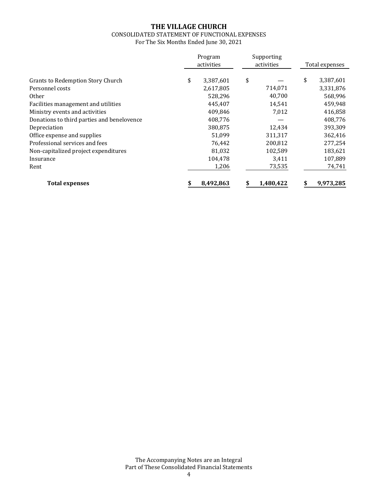#### CONSOLIDATED STATEMENT OF FUNCTIONAL EXPENSES For The Six Months Ended June 30, 2021

|                                            | Program<br>activities | Supporting<br>activities | Total expenses  |
|--------------------------------------------|-----------------------|--------------------------|-----------------|
| <b>Grants to Redemption Story Church</b>   | \$<br>3,387,601       | \$                       | \$<br>3,387,601 |
| Personnel costs                            | 2,617,805             | 714,071                  | 3,331,876       |
| 0ther                                      | 528,296               | 40,700                   | 568,996         |
| Facilities management and utilities        | 445,407               | 14,541                   | 459,948         |
| Ministry events and activities             | 409,846               | 7,012                    | 416,858         |
| Donations to third parties and benelovence | 408,776               |                          | 408,776         |
| Depreciation                               | 380,875               | 12,434                   | 393,309         |
| Office expense and supplies                | 51,099                | 311,317                  | 362,416         |
| Professional services and fees             | 76,442                | 200,812                  | 277,254         |
| Non-capitalized project expenditures       | 81,032                | 102,589                  | 183,621         |
| Insurance                                  | 104,478               | 3,411                    | 107,889         |
| Rent                                       | 1,206                 | 73,535                   | 74,741          |
| <b>Total expenses</b>                      | 8,492,863             | 1,480,422                | 9,973,285       |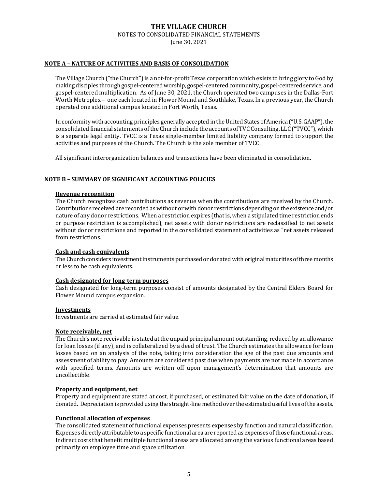### **THE VILLAGE CHURCH** NOTES TO CONSOLIDATED FINANCIAL STATEMENTS

#### June 30, 2021

#### **NOTE A – NATURE OF ACTIVITIES AND BASIS OF CONSOLIDATION**

The Village Church ("the Church") is a not-for-profit Texas corporation which exists to bring glory to God by making disciples through gospel‐centeredworship, gospel‐centered community, gospel‐centered service, and gospel‐centered multiplication. As of June 30, 2021, the Church operated two campuses in the Dallas‐Fort Worth Metroplex – one each located in Flower Mound and Southlake, Texas. In a previous year, the Church operated one additional campus located in Fort Worth, Texas.

In conformity with accounting principles generally accepted in the United States of America ("U.S. GAAP"), the consolidated financial statements of the Church include the accounts of TVC Consulting, LLC ("TVCC"), which is a separate legal entity. TVCC is a Texas single‐member limited liability company formed to support the activities and purposes of the Church. The Church is the sole member of TVCC. 

All significant interorganization balances and transactions have been eliminated in consolidation.

#### **NOTE B – SUMMARY OF SIGNIFICANT ACCOUNTING POLICIES**

#### **Revenue recognition**

The Church recognizes cash contributions as revenue when the contributions are received by the Church. Contributions received are recorded as without or with donor restrictions depending on the existence and/or nature of any donor restrictions. When a restriction expires (that is, when a stipulated time restriction ends or purpose restriction is accomplished), net assets with donor restrictions are reclassified to net assets without donor restrictions and reported in the consolidated statement of activities as "net assets released from restrictions."

#### **Cash and cash equivalents**

The Church considers investment instruments purchased or donated with original maturities of three months or less to be cash equivalents.

#### **Cash designated for long‐term purposes**

Cash designated for long‐term purposes consist of amounts designated by the Central Elders Board for Flower Mound campus expansion.

#### **Investments**

Investments are carried at estimated fair value.

#### **Note receivable, net**

The Church's note receivable is stated atthe unpaid principal amount outstanding, reduced by an allowance for loan losses (if any), and is collateralized by a deed of trust. The Church estimates the allowance for loan losses based on an analysis of the note, taking into consideration the age of the past due amounts and assessment of ability to pay. Amounts are considered past due when payments are not made in accordance with specified terms. Amounts are written off upon management's determination that amounts are uncollectible.

#### **Property and equipment, net**

Property and equipment are stated at cost, if purchased, or estimated fair value on the date of donation, if donated. Depreciation is provided using the straight-line method over the estimated useful lives of the assets.

#### **Functional allocation of expenses**

The consolidated statement of functional expenses presents expenses by function and natural classification. Expenses directly attributable to a specific functional area are reported as expenses ofthose functional areas. Indirect costs that benefit multiple functional areas are allocated among the various functional areas based primarily on employee time and space utilization.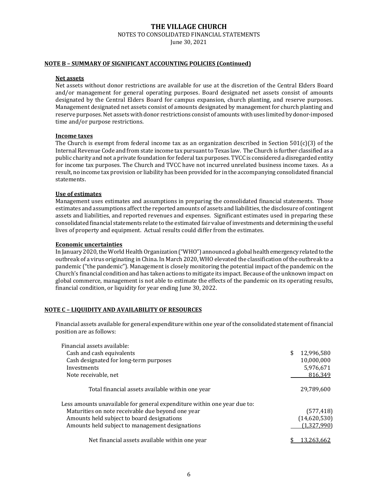NOTES TO CONSOLIDATED FINANCIAL STATEMENTS

June 30, 2021

#### **NOTE B – SUMMARY OF SIGNIFICANT ACCOUNTING POLICIES (Continued)**

#### **Net assets**

Net assets without donor restrictions are available for use at the discretion of the Central Elders Board and/or management for general operating purposes. Board designated net assets consist of amounts designated by the Central Elders Board for campus expansion, church planting, and reserve purposes. Management designated net assets consist of amounts designated by management for church planting and reserve purposes. Net assets with donor restrictions consist of amounts with uses limited by donor-imposed time and/or purpose restrictions.

#### **Income taxes**

The Church is exempt from federal income tax as an organization described in Section 501(c)(3) of the Internal Revenue Code and from state income tax pursuant to Texas law. The Church is further classified as a public charity and not a private foundation for federal tax purposes. TVCC is considered a disregarded entity for income tax purposes. The Church and TVCC have not incurred unrelated business income taxes. As a result, no income tax provision or liability has been provided for in the accompanying consolidated financial statements. 

#### **Use of estimates**

Management uses estimates and assumptions in preparing the consolidated financial statements. Those estimates and assumptions affect the reported amounts of assets and liabilities, the disclosure of contingent assets and liabilities, and reported revenues and expenses. Significant estimates used in preparing these consolidated financial statements relate to the estimated fair value of investments and determining the useful lives of property and equipment. Actual results could differ from the estimates.

#### **Economic uncertainties**

In January 2020, the World Health Organization ("WHO") announced a global health emergency related to the outbreak of a virus originating in China. In March 2020, WHO elevated the classification of the outbreak to a pandemic ("the pandemic"). Management is closely monitoring the potential impact of the pandemic on the Church's financial condition and has taken actions to mitigate its impact. Because ofthe unknown impact on global commerce, management is not able to estimate the effects of the pandemic on its operating results, financial condition, or liquidity for year ending June 30, 2022.

#### **NOTE C – LIQUIDITY AND AVAILABILITY OF RESOURCES**

Financial assets available for general expenditure within one year of the consolidated statement of financial position are as follows: 

| Financial assets available:                                              |                  |
|--------------------------------------------------------------------------|------------------|
| Cash and cash equivalents                                                | \$<br>12,996,580 |
| Cash designated for long-term purposes                                   | 10,000,000       |
| Investments                                                              | 5,976,671        |
| Note receivable, net                                                     | 816.349          |
| Total financial assets available within one year                         | 29.789.600       |
| Less amounts unavailable for general expenditure within one year due to: |                  |
| Maturities on note receivable due beyond one year                        | (577, 418)       |
| Amounts held subject to board designations                               | (14,620,530)     |
| Amounts held subject to management designations                          | (1,327,990)      |
| Net financial assets available within one year                           |                  |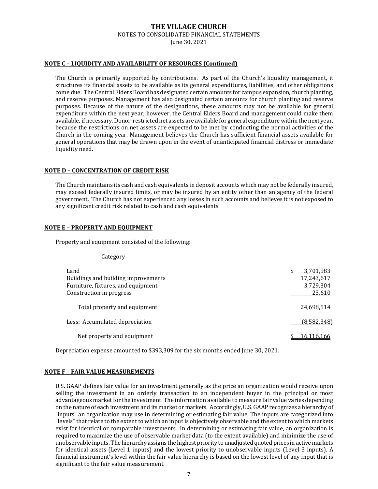NOTES TO CONSOLIDATED FINANCIAL STATEMENTS

June 30, 2021

#### **NOTE C – LIQUIDITY AND AVAILABILITY OF RESOURCES (Continued)**

The Church is primarily supported by contributions. As part of the Church's liquidity management, it structures its financial assets to be available as its general expenditures, liabilities, and other obligations come due. The Central Elders Board has designated certain amounts for campus expansion, church planting, and reserve purposes. Management has also designated certain amounts for church planting and reserve purposes. Because of the nature of the designations, these amounts may not be available for general expenditure within the next year; however, the Central Elders Board and management could make them available, if necessary.Donor‐restricted net assets are available for general expenditure within the next year, because the restrictions on net assets are expected to be met by conducting the normal activities of the Church in the coming year. Management believes the Church has sufficient financial assets available for general operations that may be drawn upon in the event of unanticipated financial distress or immediate liquidity need. 

#### **NOTE D – CONCENTRATION OF CREDIT RISK**

The Church maintains its cash and cash equivalents in deposit accounts which may not be federally insured, may exceed federally insured limits, or may be insured by an entity other than an agency of the federal government. The Church has not experienced any losses in such accounts and believes it is not exposed to any significant credit risk related to cash and cash equivalents. 

#### **NOTE E – PROPERTY AND EQUIPMENT**

Property and equipment consisted of the following:

**Category** 

| Land<br>Buildings and building improvements<br>Furniture, fixtures, and equipment<br>Construction in progress | \$<br>3,701,983<br>17,243,617<br>3,729,304<br>23,610 |
|---------------------------------------------------------------------------------------------------------------|------------------------------------------------------|
| Total property and equipment                                                                                  | 24,698,514                                           |
| Less: Accumulated depreciation                                                                                | (8,582,348)                                          |
| Net property and equipment                                                                                    |                                                      |

Depreciation expense amounted to \$393,309 for the six months ended June 30, 2021. 

#### **NOTE F – FAIR VALUE MEASUREMENTS**

U.S. GAAP defines fair value for an investment generally as the price an organization would receive upon selling the investment in an orderly transaction to an independent buyer in the principal or most advantageous market for the investment. The information available to measure fair value varies depending on the nature of each investment and its market or markets. Accordingly, U.S. GAAP recognizes a hierarchy of "inputs" an organization may use in determining or estimating fair value. The inputs are categorized into "levels" that relate to the extent to which an input is objectively observable and the extent to which markets exist for identical or comparable investments. In determining or estimating fair value, an organization is required to maximize the use of observable market data (to the extent available) and minimize the use of unobservable inputs. The hierarchy assigns the highest priority to unadjusted quoted prices inactive markets for identical assets (Level 1 inputs) and the lowest priority to unobservable inputs (Level 3 inputs). A financial instrument's level within the fair value hierarchy is based on the lowest level of any input that is significant to the fair value measurement.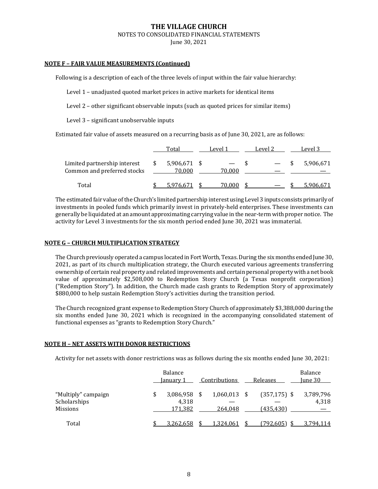#### **THE VILLAGE CHURCH** NOTES TO CONSOLIDATED FINANCIAL STATEMENTS

June 30, 2021

#### **NOTE F – FAIR VALUE MEASUREMENTS (Continued)**

Following is a description of each of the three levels of input within the fair value hierarchy:

Level 1 – unadjusted quoted market prices in active markets for identical items

Level 2 – other significant observable inputs (such as quoted prices for similar items)

Level 3 – significant unobservable inputs

Estimated fair value of assets measured on a recurring basis as of June 30, 2021, are as follows:

|                                                             | Total                    | Level 1 | Level 2 | Level 3   |
|-------------------------------------------------------------|--------------------------|---------|---------|-----------|
| Limited partnership interest<br>Common and preferred stocks | $5,906,671$ \$<br>70,000 | 70.000  |         | 5,906,671 |
| Total                                                       |                          | 70.000  |         |           |

The estimated fair value of the Church's limited partnership interest using Level 3 inputs consists primarily of investments in pooled funds which primarily invest in privately‐held enterprises. These investments can generally be liquidated at an amount approximating carrying value in the near-term with proper notice. The activity for Level 3 investments for the six month period ended June 30, 2021 was immaterial.

#### **NOTE G – CHURCH MULTIPLICATION STRATEGY**

The Church previously operated a campus located in Fort Worth, Texas. During the six months ended June 30, 2021, as part of its church multiplication strategy, the Church executed various agreements transferring ownership of certain real property and related improvements and certain personal propertywith a net book value of approximately \$2,508,000 to Redemption Story Church (a Texas nonprofit corporation) ("Redemption Story"). In addition, the Church made cash grants to Redemption Story of approximately \$880,000 to help sustain Redemption Story's activities during the transition period.

The Church recognized grant expense to Redemption Story Church of approximately \$3,388,000 during the six months ended June 30, 2021 which is recognized in the accompanying consolidated statement of functional expenses as "grants to Redemption Story Church."

#### **NOTE H – NET ASSETS WITH DONOR RESTRICTIONS**

Activity for net assets with donor restrictions was as follows during the six months ended June 30, 2021: 

|                                                        | Balance<br>January 1          | Contributions        | Releases                     | Balance<br>June 30 |
|--------------------------------------------------------|-------------------------------|----------------------|------------------------------|--------------------|
| "Multiply" campaign<br>Scholarships<br><b>Missions</b> | 3,086,958<br>4,318<br>171,382 | 1,060,013<br>264.048 | $(357, 175)$ \$<br>(435,430) | 3,789,796<br>4,318 |
| Total                                                  | 3.262.658                     | 1.324.061            | (792, 605)                   | 3.794.114          |